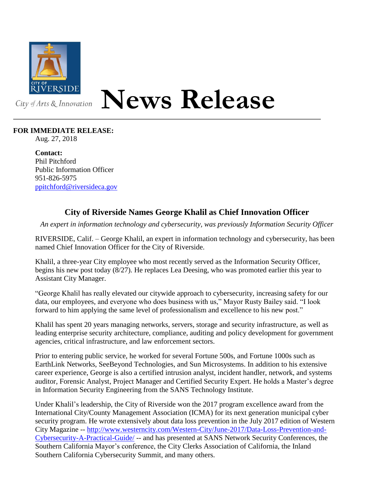

## **News Release**

## **FOR IMMEDIATE RELEASE:**

Aug. 27, 2018

**Contact:** Phil Pitchford Public Information Officer 951-826-5975 [ppitchford@riversideca.gov](mailto:ppitchford@riversideca.gov)

## **City of Riverside Names George Khalil as Chief Innovation Officer**

*An expert in information technology and cybersecurity, was previously Information Security Officer*

RIVERSIDE, Calif. – George Khalil, an expert in information technology and cybersecurity, has been named Chief Innovation Officer for the City of Riverside.

Khalil, a three-year City employee who most recently served as the Information Security Officer, begins his new post today (8/27). He replaces Lea Deesing, who was promoted earlier this year to Assistant City Manager.

"George Khalil has really elevated our citywide approach to cybersecurity, increasing safety for our data, our employees, and everyone who does business with us," Mayor Rusty Bailey said. "I look forward to him applying the same level of professionalism and excellence to his new post."

Khalil has spent 20 years managing networks, servers, storage and security infrastructure, as well as leading enterprise security architecture, compliance, auditing and policy development for government agencies, critical infrastructure, and law enforcement sectors.

Prior to entering public service, he worked for several Fortune 500s, and Fortune 1000s such as EarthLink Networks, SeeBeyond Technologies, and Sun Microsystems. In addition to his extensive career experience, George is also a certified intrusion analyst, incident handler, network, and systems auditor, Forensic Analyst, Project Manager and Certified Security Expert. He holds a Master's degree in Information Security Engineering from the SANS Technology Institute.

Under Khalil's leadership, the City of Riverside won the 2017 program excellence award from the International City/County Management Association (ICMA) for its next generation municipal cyber security program. He wrote extensively about data loss prevention in the July 2017 edition of Western City Magazine -- [http://www.westerncity.com/Western-City/June-2017/Data-Loss-Prevention-and-](http://www.westerncity.com/Western-City/June-2017/Data-Loss-Prevention-and-Cybersecurity-A-Practical-Guide/)[Cybersecurity-A-Practical-Guide/](http://www.westerncity.com/Western-City/June-2017/Data-Loss-Prevention-and-Cybersecurity-A-Practical-Guide/) -- and has presented at SANS Network Security Conferences, the Southern California Mayor's conference, the City Clerks Association of California, the Inland Southern California Cybersecurity Summit, and many others.